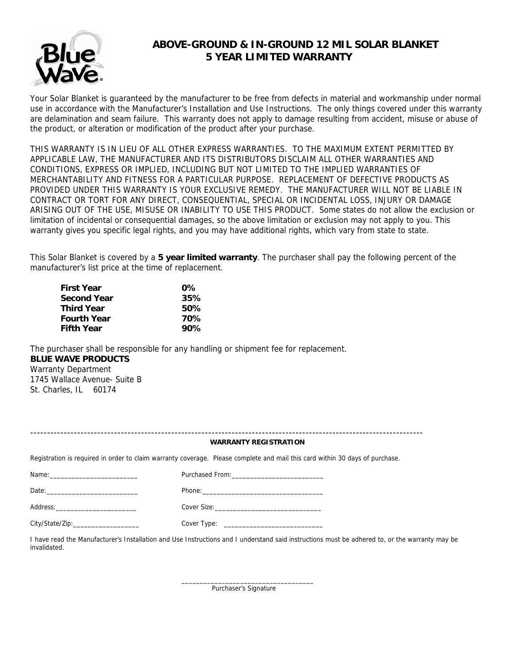

# **ABOVE-GROUND & IN-GROUND 12 MIL SOLAR BLANKET 5 YEAR LIMITED WARRANTY**

Your Solar Blanket is guaranteed by the manufacturer to be free from defects in material and workmanship under normal use in accordance with the Manufacturer's Installation and Use Instructions. The only things covered under this warranty are delamination and seam failure. This warranty does not apply to damage resulting from accident, misuse or abuse of the product, or alteration or modification of the product after your purchase.

THIS WARRANTY IS IN LIEU OF ALL OTHER EXPRESS WARRANTIES. TO THE MAXIMUM EXTENT PERMITTED BY APPLICABLE LAW, THE MANUFACTURER AND ITS DISTRIBUTORS DISCLAIM ALL OTHER WARRANTIES AND CONDITIONS, EXPRESS OR IMPLIED, INCLUDING BUT NOT LIMITED TO THE IMPLIED WARRANTIES OF MERCHANTABILITY AND FITNESS FOR A PARTICULAR PURPOSE. REPLACEMENT OF DEFECTIVE PRODUCTS AS PROVIDED UNDER THIS WARRANTY IS YOUR EXCLUSIVE REMEDY. THE MANUFACTURER WILL NOT BE LIABLE IN CONTRACT OR TORT FOR ANY DIRECT, CONSEQUENTIAL, SPECIAL OR INCIDENTAL LOSS, INJURY OR DAMAGE ARISING OUT OF THE USE, MISUSE OR INABILITY TO USE THIS PRODUCT. Some states do not allow the exclusion or limitation of incidental or consequential damages, so the above limitation or exclusion may not apply to you. This warranty gives you specific legal rights, and you may have additional rights, which vary from state to state.

This Solar Blanket is covered by a **5 year limited warranty**. The purchaser shall pay the following percent of the manufacturer's list price at the time of replacement.

| <b>First Year</b>  | $0\%$ |
|--------------------|-------|
| <b>Second Year</b> | 35%   |
| <b>Third Year</b>  | 50%   |
| <b>Fourth Year</b> | 70%   |
| <b>Fifth Year</b>  | 90%   |

The purchaser shall be responsible for any handling or shipment fee for replacement. **BLUE WAVE PRODUCTS**  Warranty Department 1745 Wallace Avenue- Suite B St. Charles, IL 60174

 $\_$ 

| <b>WARRANTY REGISTRATION</b>                                                                                                                                                                                                   |                                                                                                                              |
|--------------------------------------------------------------------------------------------------------------------------------------------------------------------------------------------------------------------------------|------------------------------------------------------------------------------------------------------------------------------|
|                                                                                                                                                                                                                                |                                                                                                                              |
|                                                                                                                                                                                                                                |                                                                                                                              |
|                                                                                                                                                                                                                                |                                                                                                                              |
|                                                                                                                                                                                                                                |                                                                                                                              |
| Cover Type: the cover of the cover of the cover of the cover of the cover of the cover of the cover of the cover of the cover of the cover of the cover of the cover of the cover of the cover of the cover of the cover of th |                                                                                                                              |
| City/State/Zip:_____________________                                                                                                                                                                                           | Registration is required in order to claim warranty coverage. Please complete and mail this card within 30 days of purchase. |

Purchaser's Signature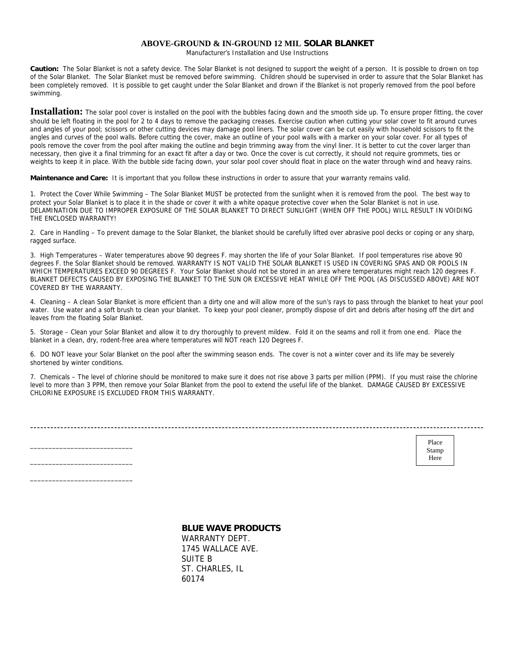#### **ABOVE-GROUND & IN-GROUND 12 MIL SOLAR BLANKET**

Manufacturer's Installation and Use Instructions

**Caution:** The Solar Blanket is not a safety device. The Solar Blanket is not designed to support the weight of a person. It is possible to drown on top of the Solar Blanket. The Solar Blanket must be removed before swimming. Children should be supervised in order to assure that the Solar Blanket has been completely removed. It is possible to get caught under the Solar Blanket and drown if the Blanket is not properly removed from the pool before swimming.

Installation: The solar pool cover is installed on the pool with the bubbles facing down and the smooth side up. To ensure proper fitting, the cover should be left floating in the pool for 2 to 4 days to remove the packaging creases. Exercise caution when cutting your solar cover to fit around curves and angles of your pool; scissors or other cutting devices may damage pool liners. The solar cover can be cut easily with household scissors to fit the angles and curves of the pool walls. Before cutting the cover, make an outline of your pool walls with a marker on your solar cover. For all types of pools remove the cover from the pool after making the outline and begin trimming away from the vinyl liner. It is better to cut the cover larger than necessary, then give it a final trimming for an exact fit after a day or two. Once the cover is cut correctly, it should not require grommets, ties or weights to keep it in place. With the bubble side facing down, your solar pool cover should float in place on the water through wind and heavy rains.

**Maintenance and Care:** It is important that you follow these instructions in order to assure that your warranty remains valid.

1. Protect the Cover While Swimming – The Solar Blanket MUST be protected from the sunlight when it is removed from the pool. The best way to protect your Solar Blanket is to place it in the shade or cover it with a white opaque protective cover when the Solar Blanket is not in use. DELAMINATION DUE TO IMPROPER EXPOSURE OF THE SOLAR BLANKET TO DIRECT SUNLIGHT (WHEN OFF THE POOL) WILL RESULT IN VOIDING THE ENCLOSED WARRANTY!

2. Care in Handling – To prevent damage to the Solar Blanket, the blanket should be carefully lifted over abrasive pool decks or coping or any sharp, ragged surface.

3. High Temperatures – Water temperatures above 90 degrees F. may shorten the life of your Solar Blanket. If pool temperatures rise above 90 degrees F. the Solar Blanket should be removed. WARRANTY IS NOT VALID THE SOLAR BLANKET IS USED IN COVERING SPAS AND OR POOLS IN WHICH TEMPERATURES EXCEED 90 DEGREES F. Your Solar Blanket should not be stored in an area where temperatures might reach 120 degrees F. BLANKET DEFECTS CAUSED BY EXPOSING THE BLANKET TO THE SUN OR EXCESSIVE HEAT WHILE OFF THE POOL (AS DISCUSSED ABOVE) ARE NOT COVERED BY THE WARRANTY.

4. Cleaning – A clean Solar Blanket is more efficient than a dirty one and will allow more of the sun's rays to pass through the blanket to heat your pool water. Use water and a soft brush to clean your blanket. To keep your pool cleaner, promptly dispose of dirt and debris after hosing off the dirt and leaves from the floating Solar Blanket.

5. Storage – Clean your Solar Blanket and allow it to dry thoroughly to prevent mildew. Fold it on the seams and roll it from one end. Place the blanket in a clean, dry, rodent-free area where temperatures will NOT reach 120 Degrees F.

6. DO NOT leave your Solar Blanket on the pool after the swimming season ends. The cover is not a winter cover and its life may be severely shortened by winter conditions.

7. Chemicals – The level of chlorine should be monitored to make sure it does not rise above 3 parts per million (PPM). If you must raise the chlorine level to more than 3 PPM, then remove your Solar Blanket from the pool to extend the useful life of the blanket. DAMAGE CAUSED BY EXCESSIVE CHLORINE EXPOSURE IS EXCLUDED FROM THIS WARRANTY.

|       | ---- |
|-------|------|
|       |      |
| Place |      |

Stamp Here

### **BLUE WAVE PRODUCTS**

 WARRANTY DEPT. 1745 WALLACE AVE. SUITE B ST. CHARLES, IL 60174

\_\_\_\_\_\_\_\_\_\_\_\_\_\_\_\_\_\_\_\_\_\_\_\_\_\_\_\_ \_\_\_\_\_\_\_\_\_\_\_\_\_\_\_\_\_\_\_\_\_\_\_\_\_\_\_\_ \_\_\_\_\_\_\_\_\_\_\_\_\_\_\_\_\_\_\_\_\_\_\_\_\_\_\_\_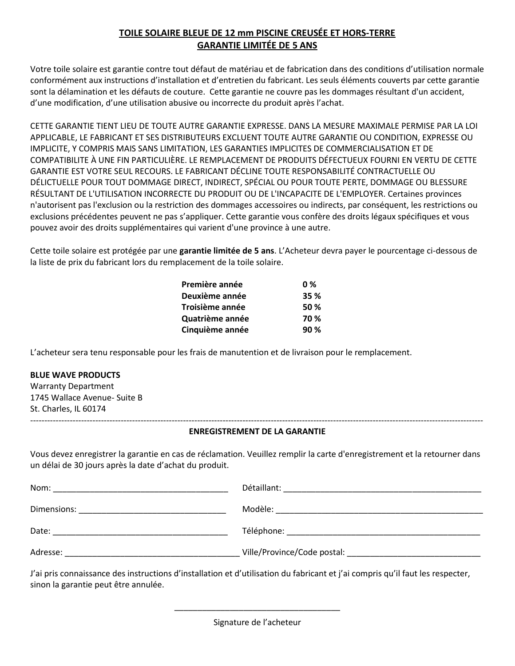## **TOILE SOLAIRE BLEUE DE 12 mm PISCINE CREUSÉE ET HORS-TERRE GARANTIE LIMITÉE DE 5 ANS**

Votre toile solaire est garantie contre tout défaut de matériau et de fabrication dans des conditions d'utilisation normale conformément aux instructions d'installation et d'entretien du fabricant. Les seuls éléments couverts par cette garantie sont la délamination et les défauts de couture. Cette garantie ne couvre pas les dommages résultant d'un accident, d'une modification, d'une utilisation abusive ou incorrecte du produit après l'achat.

CETTE GARANTIE TIENT LIEU DE TOUTE AUTRE GARANTIE EXPRESSE. DANS LA MESURE MAXIMALE PERMISE PAR LA LOI APPLICABLE, LE FABRICANT ET SES DISTRIBUTEURS EXCLUENT TOUTE AUTRE GARANTIE OU CONDITION, EXPRESSE OU IMPLICITE, Y COMPRIS MAIS SANS LIMITATION, LES GARANTIES IMPLICITES DE COMMERCIALISATION ET DE COMPATIBILITE À UNE FIN PARTICULIÈRE. LE REMPLACEMENT DE PRODUITS DÉFECTUEUX FOURNI EN VERTU DE CETTE GARANTIE EST VOTRE SEUL RECOURS. LE FABRICANT DÉCLINE TOUTE RESPONSABILITÉ CONTRACTUELLE OU DÉLICTUELLE POUR TOUT DOMMAGE DIRECT, INDIRECT, SPÉCIAL OU POUR TOUTE PERTE, DOMMAGE OU BLESSURE RÉSULTANT DE L'UTILISATION INCORRECTE DU PRODUIT OU DE L'INCAPACITE DE L'EMPLOYER. Certaines provinces n'autorisent pas l'exclusion ou la restriction des dommages accessoires ou indirects, par conséquent, les restrictions ou exclusions précédentes peuvent ne pas s'appliquer. Cette garantie vous confère des droits légaux spécifiques et vous pouvez avoir des droits supplémentaires qui varient d'une province à une autre.

Cette toile solaire est protégée par une **garantie limitée de 5 ans**. L'Acheteur devra payer le pourcentage ci-dessous de la liste de prix du fabricant lors du remplacement de la toile solaire.

| 35 % |
|------|
| 50%  |
| 70 % |
| 90%  |
|      |

L'acheteur sera tenu responsable pour les frais de manutention et de livraison pour le remplacement.

### **BLUE WAVE PRODUCTS**

Warranty Department 1745 Wallace Avenue- Suite B St. Charles, IL 60174 ----------------------------------------------------------------------------------------------------------------------------------------------------------------

### **ENREGISTREMENT DE LA GARANTIE**

Vous devez enregistrer la garantie en cas de réclamation. Veuillez remplir la carte d'enregistrement et la retourner dans un délai de 30 jours après la date d'achat du produit.

| Nom:        | Détaillant:                                                                                                |
|-------------|------------------------------------------------------------------------------------------------------------|
|             | <u> 1980 - Jan Barbara, manazarta da kasar Indonesia. Indonesia da kasar Indonesia da kasar Indonesia.</u> |
| Dimensions: | Modèle:                                                                                                    |
| Date:       | Téléphone:                                                                                                 |
|             |                                                                                                            |
| Adresse:    |                                                                                                            |

J'ai pris connaissance des instructions d'installation et d'utilisation du fabricant et j'ai compris qu'il faut les respecter, sinon la garantie peut être annulée.